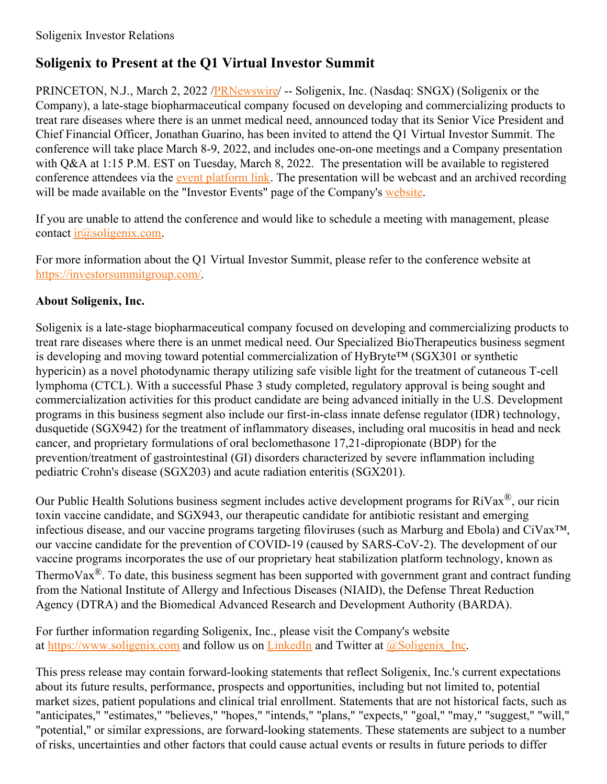## **Soligenix to Present at the Q1 Virtual Investor Summit**

PRINCETON, N.J., March 2, 2022 /*PRNewswire*/ -- Soligenix, Inc. (Nasdaq: SNGX) (Soligenix or the Company), a late-stage biopharmaceutical company focused on developing and commercializing products to treat rare diseases where there is an unmet medical need, announced today that its Senior Vice President and Chief Financial Officer, Jonathan Guarino, has been invited to attend the Q1 Virtual Investor Summit. The conference will take place March 8-9, 2022, and includes one-on-one meetings and a Company presentation with Q&A at 1:15 P.M. EST on Tuesday, March 8, 2022. The presentation will be available to registered conference attendees via the event [platform](https://c212.net/c/link/?t=0&l=en&o=3459676-1&h=3455159165&u=https%3A%2F%2Fus06web.zoom.us%2Fwebinar%2Fregister%2FWN_cfgh7nDpQnuIwvy7xbZGoQ&a=event+platform%C2%A0link) link. The presentation will be webcast and an archived recording will be made available on the "Investor Events" page of the Company's [website](https://c212.net/c/link/?t=0&l=en&o=3459676-1&h=4145949448&u=https%3A%2F%2Fir.soligenix.com%2F&a=website).

If you are unable to attend the conference and would like to schedule a meeting with management, please contact  $ir(\omega)$ soligenix.com.

For more information about the Q1 Virtual Investor Summit, please refer to the conference website at [https://investorsummitgroup.com/](https://c212.net/c/link/?t=0&l=en&o=3459676-1&h=2822042155&u=https%3A%2F%2Finvestorsummitgroup.com%2F&a=https%3A%2F%2Finvestorsummitgroup.com%2F).

## **About Soligenix, Inc.**

Soligenix is a late-stage biopharmaceutical company focused on developing and commercializing products to treat rare diseases where there is an unmet medical need. Our Specialized BioTherapeutics business segment is developing and moving toward potential commercialization of HyBryte™ (SGX301 or synthetic hypericin) as a novel photodynamic therapy utilizing safe visible light for the treatment of cutaneous T-cell lymphoma (CTCL). With a successful Phase 3 study completed, regulatory approval is being sought and commercialization activities for this product candidate are being advanced initially in the U.S. Development programs in this business segment also include our first-in-class innate defense regulator (IDR) technology, dusquetide (SGX942) for the treatment of inflammatory diseases, including oral mucositis in head and neck cancer, and proprietary formulations of oral beclomethasone 17,21-dipropionate (BDP) for the prevention/treatment of gastrointestinal (GI) disorders characterized by severe inflammation including pediatric Crohn's disease (SGX203) and acute radiation enteritis (SGX201).

Our Public Health Solutions business segment includes active development programs for RiVax<sup>®</sup>, our ricin toxin vaccine candidate, and SGX943, our therapeutic candidate for antibiotic resistant and emerging infectious disease, and our vaccine programs targeting filoviruses (such as Marburg and Ebola) and CiVax™, our vaccine candidate for the prevention of COVID-19 (caused by SARS-CoV-2). The development of our vaccine programs incorporates the use of our proprietary heat stabilization platform technology, known as ThermoVax®. To date, this business segment has been supported with government grant and contract funding from the National Institute of Allergy and Infectious Diseases (NIAID), the Defense Threat Reduction Agency (DTRA) and the Biomedical Advanced Research and Development Authority (BARDA).

For further information regarding Soligenix, Inc., please visit the Company's website at [https://www.soligenix.com](https://c212.net/c/link/?t=0&l=en&o=3459676-1&h=3455118268&u=https%3A%2F%2Fwww.soligenix.com%2F&a=https%3A%2F%2Fwww.soligenix.com) and follow us on [LinkedIn](https://c212.net/c/link/?t=0&l=en&o=3459676-1&h=1860276567&u=https%3A%2F%2Fwww.linkedin.com%2Fcompany%2F553104%2Fadmin%2F&a=LinkedIn) and Twitter at  $\omega$ Soligenix Inc.

This press release may contain forward-looking statements that reflect Soligenix, Inc.'s current expectations about its future results, performance, prospects and opportunities, including but not limited to, potential market sizes, patient populations and clinical trial enrollment. Statements that are not historical facts, such as "anticipates," "estimates," "believes," "hopes," "intends," "plans," "expects," "goal," "may," "suggest," "will," "potential," or similar expressions, are forward-looking statements. These statements are subject to a number of risks, uncertainties and other factors that could cause actual events or results in future periods to differ